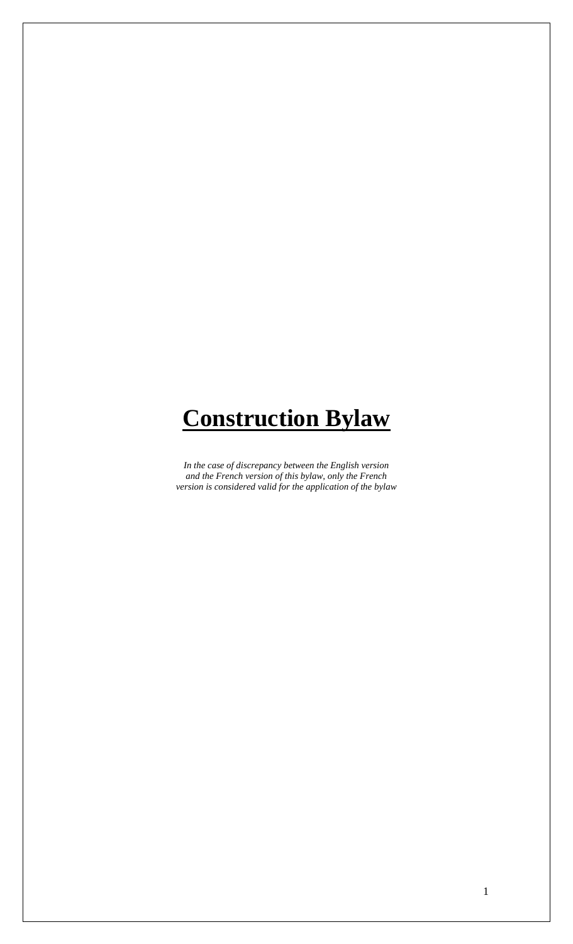# **Construction Bylaw**

*In the case of discrepancy between the English version and the French version of this bylaw, only the French version is considered valid for the application of the bylaw*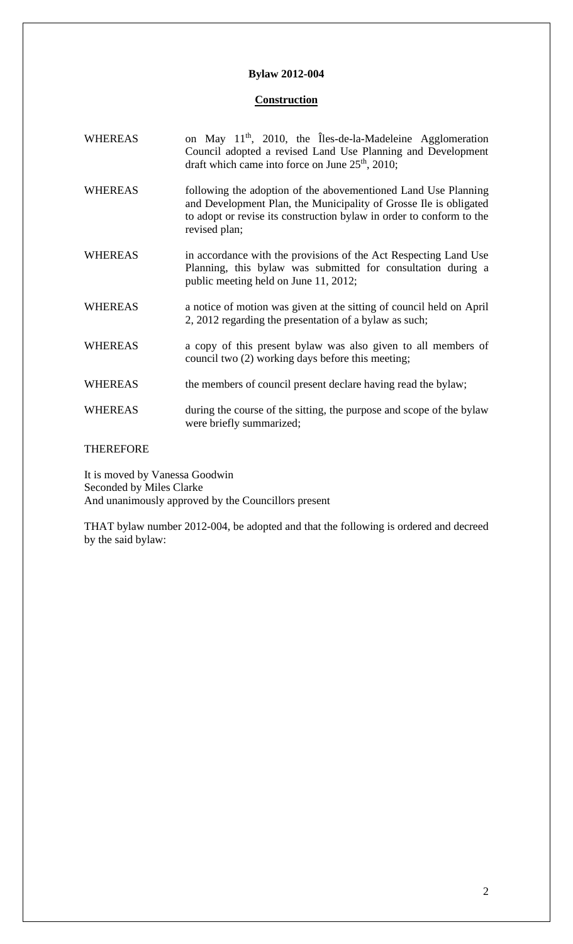# **Bylaw 2012-004**

# **Construction**

| <b>WHEREAS</b> | on May $11^{th}$ , 2010, the Îles-de-la-Madeleine Agglomeration<br>Council adopted a revised Land Use Planning and Development<br>draft which came into force on June $25th$ , 2010;                                         |
|----------------|------------------------------------------------------------------------------------------------------------------------------------------------------------------------------------------------------------------------------|
| <b>WHEREAS</b> | following the adoption of the abovementioned Land Use Planning<br>and Development Plan, the Municipality of Grosse Ile is obligated<br>to adopt or revise its construction bylaw in order to conform to the<br>revised plan; |
| <b>WHEREAS</b> | in accordance with the provisions of the Act Respecting Land Use<br>Planning, this bylaw was submitted for consultation during a<br>public meeting held on June 11, 2012;                                                    |
| <b>WHEREAS</b> | a notice of motion was given at the sitting of council held on April<br>2, 2012 regarding the presentation of a bylaw as such;                                                                                               |
| <b>WHEREAS</b> | a copy of this present bylaw was also given to all members of<br>council two (2) working days before this meeting;                                                                                                           |
| <b>WHEREAS</b> | the members of council present declare having read the bylaw;                                                                                                                                                                |
| <b>WHEREAS</b> | during the course of the sitting, the purpose and scope of the bylaw<br>were briefly summarized;                                                                                                                             |

# THEREFORE

It is moved by Vanessa Goodwin Seconded by Miles Clarke And unanimously approved by the Councillors present

THAT bylaw number 2012-004, be adopted and that the following is ordered and decreed by the said bylaw: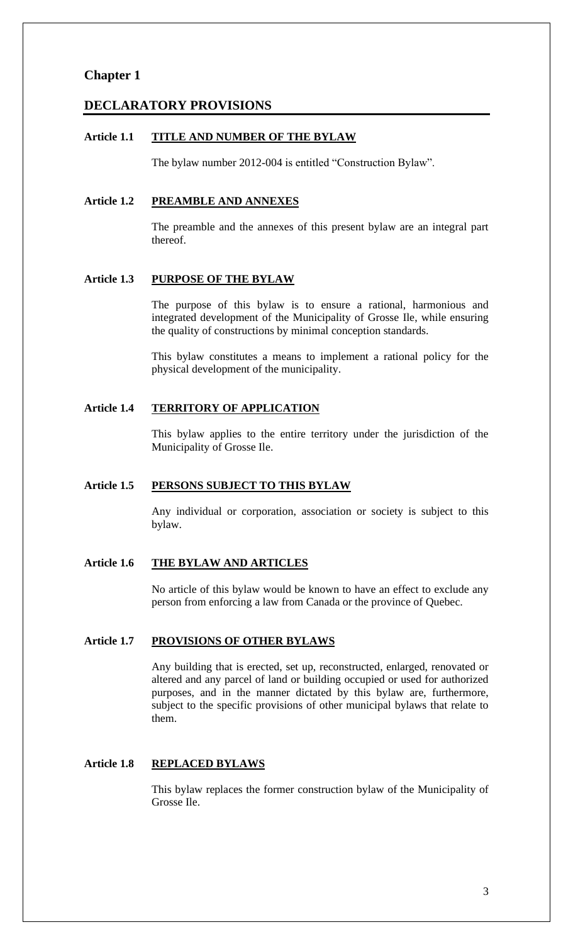# **Chapter 1**

#### **DECLARATORY PROVISIONS**

#### **Article 1.1 TITLE AND NUMBER OF THE BYLAW**

The bylaw number 2012-004 is entitled "Construction Bylaw".

#### **Article 1.2 PREAMBLE AND ANNEXES**

The preamble and the annexes of this present bylaw are an integral part thereof.

# **Article 1.3 PURPOSE OF THE BYLAW**

The purpose of this bylaw is to ensure a rational, harmonious and integrated development of the Municipality of Grosse Ile, while ensuring the quality of constructions by minimal conception standards.

This bylaw constitutes a means to implement a rational policy for the physical development of the municipality.

# **Article 1.4 TERRITORY OF APPLICATION**

This bylaw applies to the entire territory under the jurisdiction of the Municipality of Grosse Ile.

### **Article 1.5 PERSONS SUBJECT TO THIS BYLAW**

Any individual or corporation, association or society is subject to this bylaw.

#### **Article 1.6 THE BYLAW AND ARTICLES**

No article of this bylaw would be known to have an effect to exclude any person from enforcing a law from Canada or the province of Quebec.

#### **Article 1.7 PROVISIONS OF OTHER BYLAWS**

Any building that is erected, set up, reconstructed, enlarged, renovated or altered and any parcel of land or building occupied or used for authorized purposes, and in the manner dictated by this bylaw are, furthermore, subject to the specific provisions of other municipal bylaws that relate to them.

# **Article 1.8 REPLACED BYLAWS**

This bylaw replaces the former construction bylaw of the Municipality of Grosse Ile.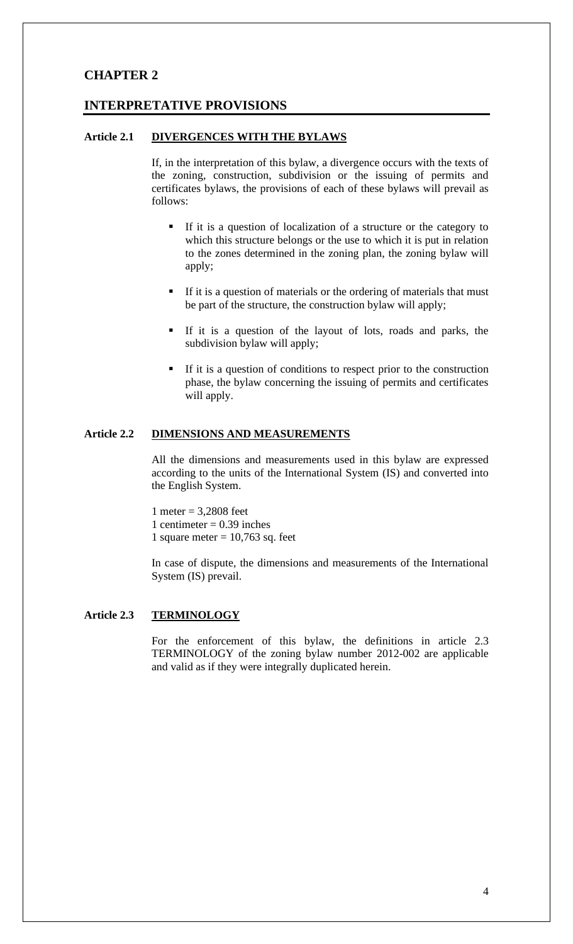# **CHAPTER 2**

#### **INTERPRETATIVE PROVISIONS**

#### **Article 2.1 DIVERGENCES WITH THE BYLAWS**

If, in the interpretation of this bylaw, a divergence occurs with the texts of the zoning, construction, subdivision or the issuing of permits and certificates bylaws, the provisions of each of these bylaws will prevail as follows:

- If it is a question of localization of a structure or the category to which this structure belongs or the use to which it is put in relation to the zones determined in the zoning plan, the zoning bylaw will apply;
- **If it is a question of materials or the ordering of materials that must** be part of the structure, the construction bylaw will apply;
- If it is a question of the layout of lots, roads and parks, the subdivision bylaw will apply;
- If it is a question of conditions to respect prior to the construction phase, the bylaw concerning the issuing of permits and certificates will apply.

#### **Article 2.2 DIMENSIONS AND MEASUREMENTS**

All the dimensions and measurements used in this bylaw are expressed according to the units of the International System (IS) and converted into the English System.

1 meter = 3,2808 feet 1 centimeter  $= 0.39$  inches 1 square meter  $= 10,763$  sq. feet

In case of dispute, the dimensions and measurements of the International System (IS) prevail.

#### **Article 2.3 TERMINOLOGY**

For the enforcement of this bylaw, the definitions in article 2.3 TERMINOLOGY of the zoning bylaw number 2012-002 are applicable and valid as if they were integrally duplicated herein.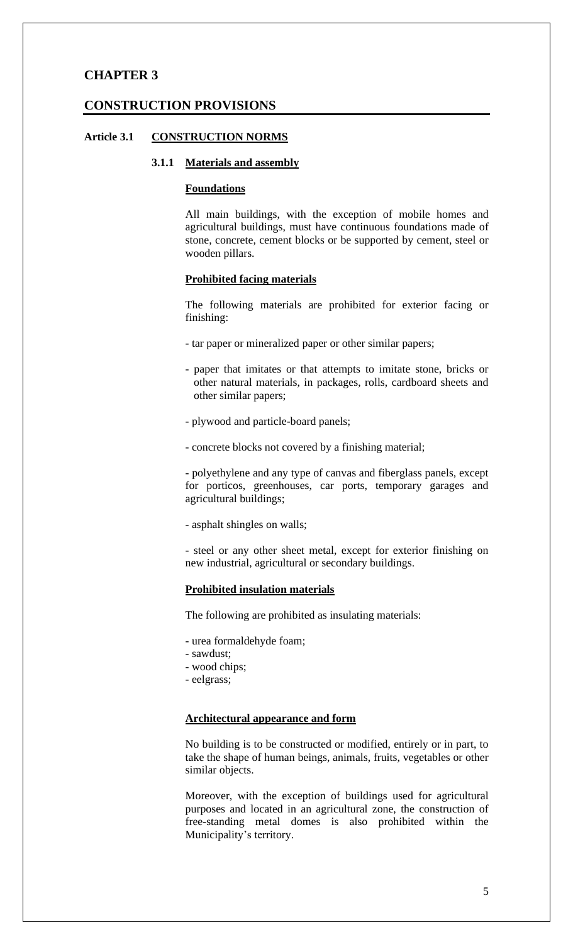# **CHAPTER 3**

#### **CONSTRUCTION PROVISIONS**

#### **Article 3.1 CONSTRUCTION NORMS**

#### **3.1.1 Materials and assembly**

#### **Foundations**

All main buildings, with the exception of mobile homes and agricultural buildings, must have continuous foundations made of stone, concrete, cement blocks or be supported by cement, steel or wooden pillars.

#### **Prohibited facing materials**

The following materials are prohibited for exterior facing or finishing:

- tar paper or mineralized paper or other similar papers;
- paper that imitates or that attempts to imitate stone, bricks or other natural materials, in packages, rolls, cardboard sheets and other similar papers;
- plywood and particle-board panels;
- concrete blocks not covered by a finishing material;

- polyethylene and any type of canvas and fiberglass panels, except for porticos, greenhouses, car ports, temporary garages and agricultural buildings;

- asphalt shingles on walls;

- steel or any other sheet metal, except for exterior finishing on new industrial, agricultural or secondary buildings.

#### **Prohibited insulation materials**

The following are prohibited as insulating materials:

- urea formaldehyde foam;
- sawdust;
- wood chips;
- eelgrass;

## **Architectural appearance and form**

No building is to be constructed or modified, entirely or in part, to take the shape of human beings, animals, fruits, vegetables or other similar objects.

Moreover, with the exception of buildings used for agricultural purposes and located in an agricultural zone, the construction of free-standing metal domes is also prohibited within the Municipality's territory.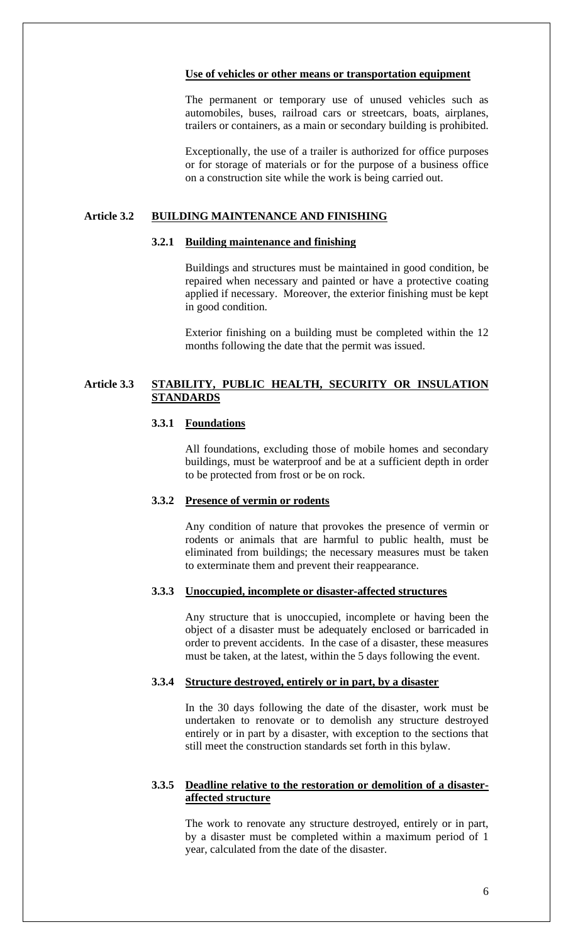#### **Use of vehicles or other means or transportation equipment**

The permanent or temporary use of unused vehicles such as automobiles, buses, railroad cars or streetcars, boats, airplanes, trailers or containers, as a main or secondary building is prohibited.

Exceptionally, the use of a trailer is authorized for office purposes or for storage of materials or for the purpose of a business office on a construction site while the work is being carried out.

#### **Article 3.2 BUILDING MAINTENANCE AND FINISHING**

#### **3.2.1 Building maintenance and finishing**

Buildings and structures must be maintained in good condition, be repaired when necessary and painted or have a protective coating applied if necessary. Moreover, the exterior finishing must be kept in good condition.

Exterior finishing on a building must be completed within the 12 months following the date that the permit was issued.

## **Article 3.3 STABILITY, PUBLIC HEALTH, SECURITY OR INSULATION STANDARDS**

## **3.3.1 Foundations**

All foundations, excluding those of mobile homes and secondary buildings, must be waterproof and be at a sufficient depth in order to be protected from frost or be on rock.

#### **3.3.2 Presence of vermin or rodents**

Any condition of nature that provokes the presence of vermin or rodents or animals that are harmful to public health, must be eliminated from buildings; the necessary measures must be taken to exterminate them and prevent their reappearance.

#### **3.3.3 Unoccupied, incomplete or disaster-affected structures**

Any structure that is unoccupied, incomplete or having been the object of a disaster must be adequately enclosed or barricaded in order to prevent accidents. In the case of a disaster, these measures must be taken, at the latest, within the 5 days following the event.

## **3.3.4 Structure destroyed, entirely or in part, by a disaster**

In the 30 days following the date of the disaster, work must be undertaken to renovate or to demolish any structure destroyed entirely or in part by a disaster, with exception to the sections that still meet the construction standards set forth in this bylaw.

## **3.3.5 Deadline relative to the restoration or demolition of a disasteraffected structure**

The work to renovate any structure destroyed, entirely or in part, by a disaster must be completed within a maximum period of 1 year, calculated from the date of the disaster.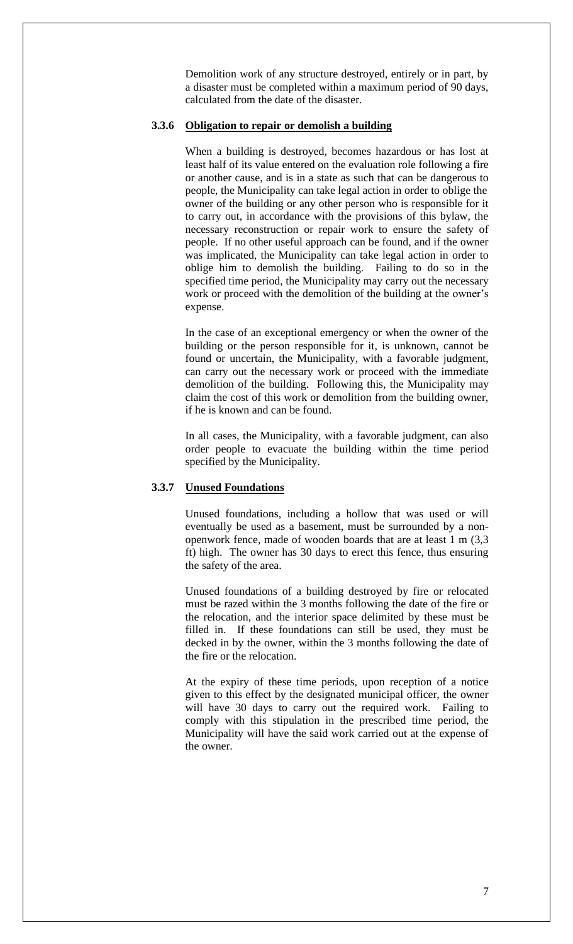Demolition work of any structure destroyed, entirely or in part, by a disaster must be completed within a maximum period of 90 days, calculated from the date of the disaster.

## **3.3.6 Obligation to repair or demolish a building**

When a building is destroyed, becomes hazardous or has lost at least half of its value entered on the evaluation role following a fire or another cause, and is in a state as such that can be dangerous to people, the Municipality can take legal action in order to oblige the owner of the building or any other person who is responsible for it to carry out, in accordance with the provisions of this bylaw, the necessary reconstruction or repair work to ensure the safety of people. If no other useful approach can be found, and if the owner was implicated, the Municipality can take legal action in order to oblige him to demolish the building. Failing to do so in the specified time period, the Municipality may carry out the necessary work or proceed with the demolition of the building at the owner's expense.

In the case of an exceptional emergency or when the owner of the building or the person responsible for it, is unknown, cannot be found or uncertain, the Municipality, with a favorable judgment, can carry out the necessary work or proceed with the immediate demolition of the building. Following this, the Municipality may claim the cost of this work or demolition from the building owner, if he is known and can be found.

In all cases, the Municipality, with a favorable judgment, can also order people to evacuate the building within the time period specified by the Municipality.

#### **3.3.7 Unused Foundations**

Unused foundations, including a hollow that was used or will eventually be used as a basement, must be surrounded by a nonopenwork fence, made of wooden boards that are at least 1 m (3,3 ft) high. The owner has 30 days to erect this fence, thus ensuring the safety of the area.

Unused foundations of a building destroyed by fire or relocated must be razed within the 3 months following the date of the fire or the relocation, and the interior space delimited by these must be filled in. If these foundations can still be used, they must be decked in by the owner, within the 3 months following the date of the fire or the relocation.

At the expiry of these time periods, upon reception of a notice given to this effect by the designated municipal officer, the owner will have 30 days to carry out the required work. Failing to comply with this stipulation in the prescribed time period, the Municipality will have the said work carried out at the expense of the owner.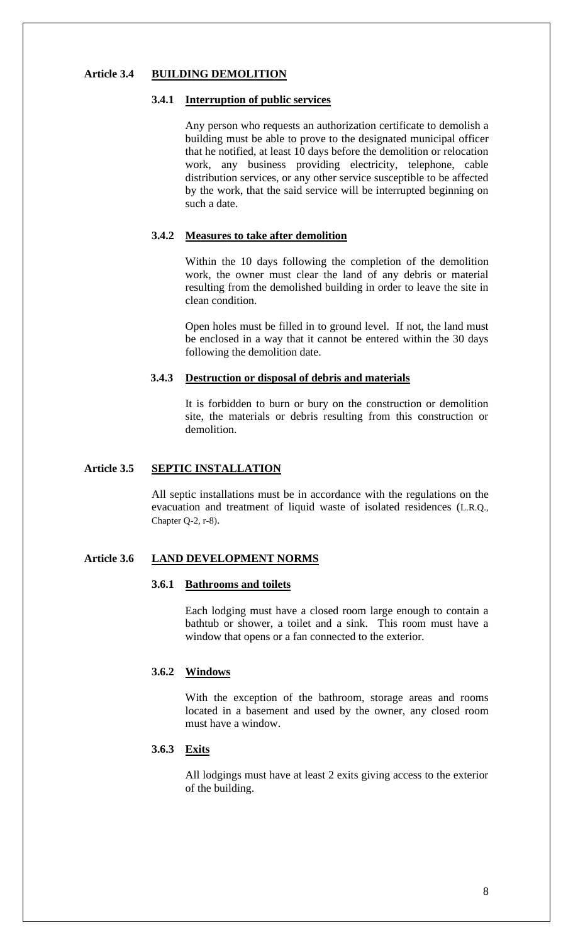#### **Article 3.4 BUILDING DEMOLITION**

#### **3.4.1 Interruption of public services**

Any person who requests an authorization certificate to demolish a building must be able to prove to the designated municipal officer that he notified, at least 10 days before the demolition or relocation work, any business providing electricity, telephone, cable distribution services, or any other service susceptible to be affected by the work, that the said service will be interrupted beginning on such a date.

#### **3.4.2 Measures to take after demolition**

Within the 10 days following the completion of the demolition work, the owner must clear the land of any debris or material resulting from the demolished building in order to leave the site in clean condition.

Open holes must be filled in to ground level. If not, the land must be enclosed in a way that it cannot be entered within the 30 days following the demolition date.

#### **3.4.3 Destruction or disposal of debris and materials**

It is forbidden to burn or bury on the construction or demolition site, the materials or debris resulting from this construction or demolition.

#### **Article 3.5 SEPTIC INSTALLATION**

All septic installations must be in accordance with the regulations on the evacuation and treatment of liquid waste of isolated residences (L.R.Q., Chapter Q-2, r-8).

#### **Article 3.6 LAND DEVELOPMENT NORMS**

#### **3.6.1 Bathrooms and toilets**

Each lodging must have a closed room large enough to contain a bathtub or shower, a toilet and a sink. This room must have a window that opens or a fan connected to the exterior.

# **3.6.2 Windows**

With the exception of the bathroom, storage areas and rooms located in a basement and used by the owner, any closed room must have a window.

# **3.6.3 Exits**

All lodgings must have at least 2 exits giving access to the exterior of the building.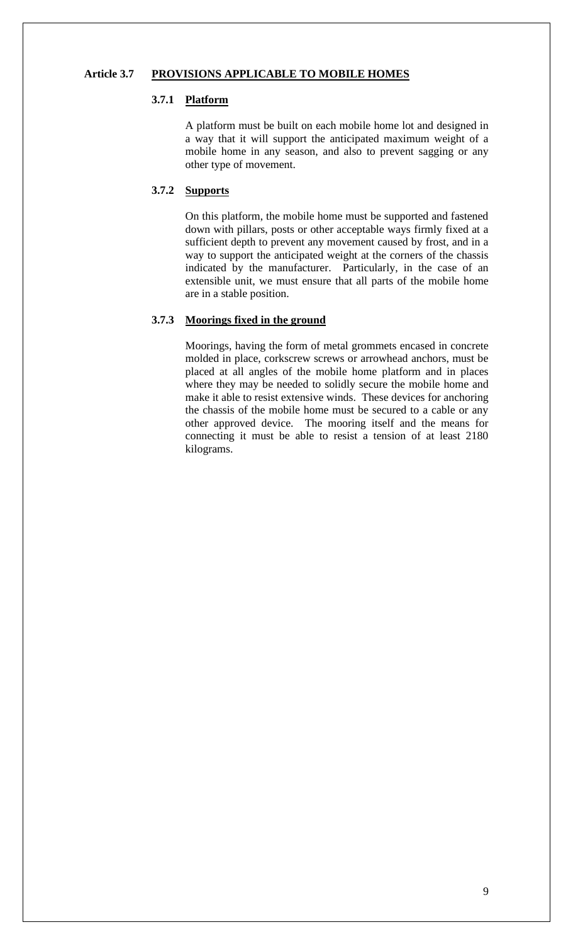# **Article 3.7 PROVISIONS APPLICABLE TO MOBILE HOMES**

# **3.7.1 Platform**

A platform must be built on each mobile home lot and designed in a way that it will support the anticipated maximum weight of a mobile home in any season, and also to prevent sagging or any other type of movement.

# **3.7.2 Supports**

On this platform, the mobile home must be supported and fastened down with pillars, posts or other acceptable ways firmly fixed at a sufficient depth to prevent any movement caused by frost, and in a way to support the anticipated weight at the corners of the chassis indicated by the manufacturer. Particularly, in the case of an extensible unit, we must ensure that all parts of the mobile home are in a stable position.

# **3.7.3 Moorings fixed in the ground**

Moorings, having the form of metal grommets encased in concrete molded in place, corkscrew screws or arrowhead anchors, must be placed at all angles of the mobile home platform and in places where they may be needed to solidly secure the mobile home and make it able to resist extensive winds. These devices for anchoring the chassis of the mobile home must be secured to a cable or any other approved device. The mooring itself and the means for connecting it must be able to resist a tension of at least 2180 kilograms.